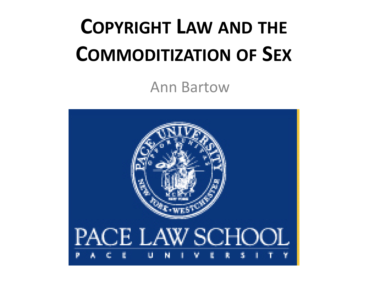# **COPYRIGHT LAW AND THE COMMODITIZATION OF SEX**

Ann Bartow

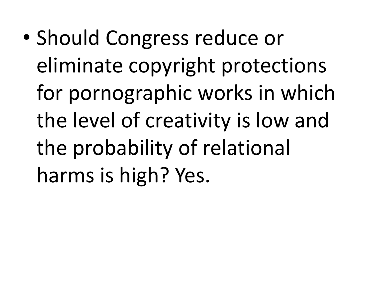• Should Congress reduce or eliminate copyright protections for pornographic works in which the level of creativity is low and the probability of relational harms is high? Yes.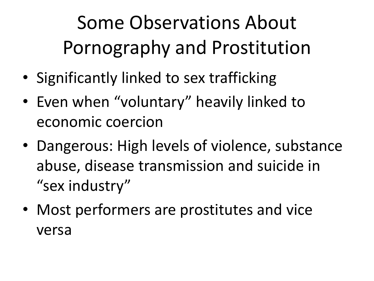## Some Observations About Pornography and Prostitution

- Significantly linked to sex trafficking
- Even when "voluntary" heavily linked to economic coercion
- Dangerous: High levels of violence, substance abuse, disease transmission and suicide in "sex industry"
- Most performers are prostitutes and vice versa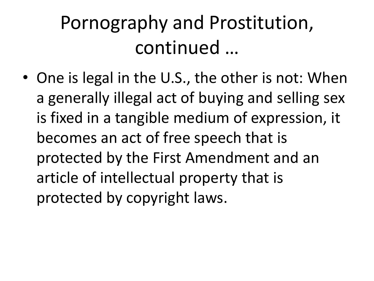#### Pornography and Prostitution, continued …

• One is legal in the U.S., the other is not: When a generally illegal act of buying and selling sex is fixed in a tangible medium of expression, it becomes an act of free speech that is protected by the First Amendment and an article of intellectual property that is protected by copyright laws.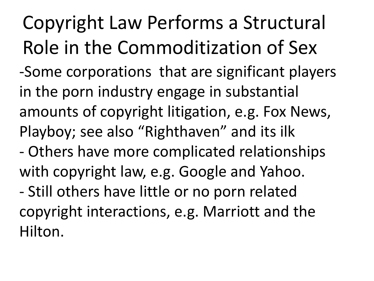Copyright Law Performs a Structural Role in the Commoditization of Sex -Some corporations that are significant players in the porn industry engage in substantial

amounts of copyright litigation, e.g. Fox News, Playboy; see also "Righthaven" and its ilk

- Others have more complicated relationships with copyright law, e.g. Google and Yahoo.

- Still others have little or no porn related copyright interactions, e.g. Marriott and the Hilton.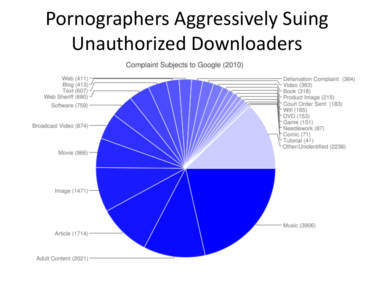#### Pornographers Aggressively Suing Unauthorized Downloaders

Complaint Subjects to Google (2010)

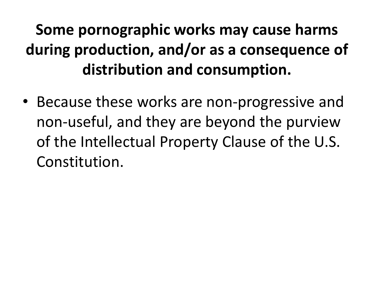#### **Some pornographic works may cause harms during production, and/or as a consequence of distribution and consumption.**

• Because these works are non-progressive and non-useful, and they are beyond the purview of the Intellectual Property Clause of the U.S. Constitution.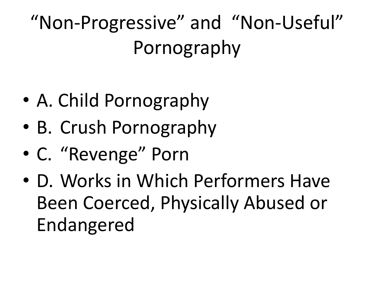"Non-Progressive" and "Non-Useful" Pornography

- A. Child Pornography
- B. Crush Pornography
- C. "Revenge" Porn
- D. Works in Which Performers Have Been Coerced, Physically Abused or Endangered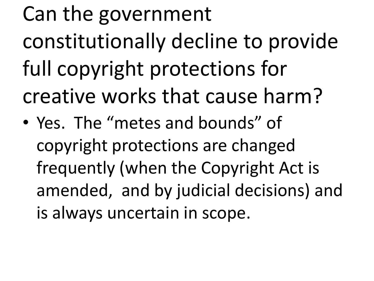# Can the government constitutionally decline to provide full copyright protections for creative works that cause harm?

• Yes. The "metes and bounds" of copyright protections are changed frequently (when the Copyright Act is amended, and by judicial decisions) and is always uncertain in scope.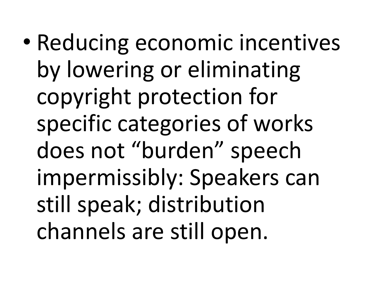• Reducing economic incentives by lowering or eliminating copyright protection for specific categories of works does not "burden" speech impermissibly: Speakers can still speak; distribution channels are still open.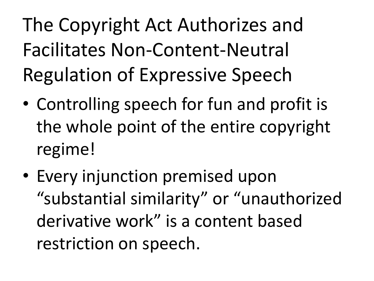The Copyright Act Authorizes and Facilitates Non-Content-Neutral Regulation of Expressive Speech

- Controlling speech for fun and profit is the whole point of the entire copyright regime!
- Every injunction premised upon "substantial similarity" or "unauthorized derivative work" is a content based restriction on speech.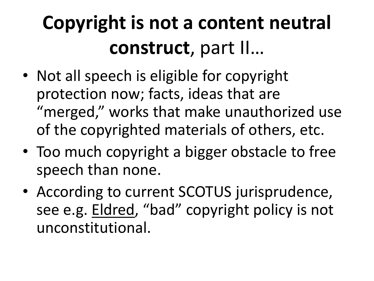### **Copyright is not a content neutral construct**, part II…

- Not all speech is eligible for copyright protection now; facts, ideas that are "merged," works that make unauthorized use of the copyrighted materials of others, etc.
- Too much copyright a bigger obstacle to free speech than none.
- According to current SCOTUS jurisprudence, see e.g. Eldred, "bad" copyright policy is not unconstitutional.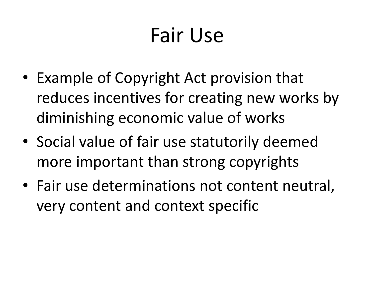# Fair Use

- Example of Copyright Act provision that reduces incentives for creating new works by diminishing economic value of works
- Social value of fair use statutorily deemed more important than strong copyrights
- Fair use determinations not content neutral, very content and context specific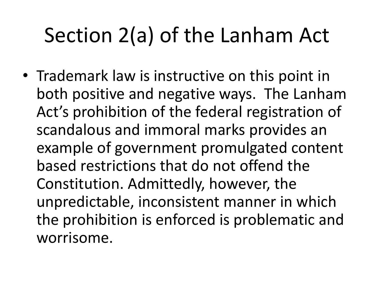# Section 2(a) of the Lanham Act

• Trademark law is instructive on this point in both positive and negative ways. The Lanham Act's prohibition of the federal registration of scandalous and immoral marks provides an example of government promulgated content based restrictions that do not offend the Constitution. Admittedly, however, the unpredictable, inconsistent manner in which the prohibition is enforced is problematic and worrisome.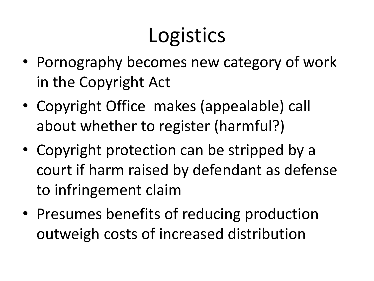# Logistics

- Pornography becomes new category of work in the Copyright Act
- Copyright Office makes (appealable) call about whether to register (harmful?)
- Copyright protection can be stripped by a court if harm raised by defendant as defense to infringement claim
- Presumes benefits of reducing production outweigh costs of increased distribution